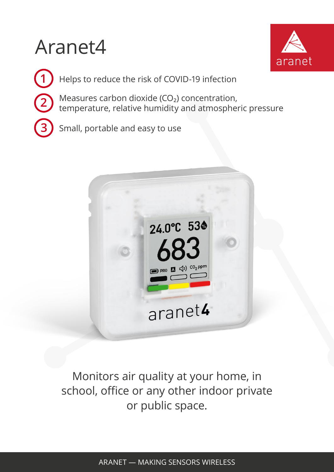## Aranet4



**1** Helps to reduce the risk of COVID-19 infection **3** Small, portable and easy to use 2) Measures carbon dioxide (CO<sub>2</sub>) concentration,<br>temperature, relative bumidity and atmosphe temperature, relative humidity and atmospheric pressure



Monitors air quality at your home, in school, office or any other indoor private or public space.